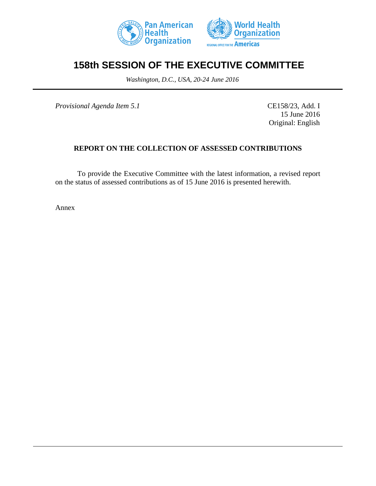



## **158th SESSION OF THE EXECUTIVE COMMITTEE**

*Washington, D.C., USA, 20-24 June 2016*

*Provisional Agenda Item 5.1* CE158/23, Add. I

15 June 2016 Original: English

## **REPORT ON THE COLLECTION OF ASSESSED CONTRIBUTIONS**

To provide the Executive Committee with the latest information, a revised report on the status of assessed contributions as of 15 June 2016 is presented herewith.

Annex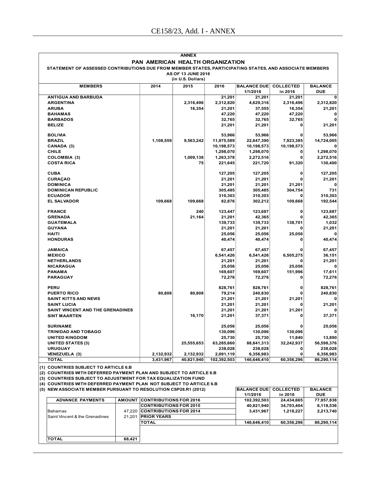| <b>ANNEX</b>                                                                                            |  |                               |                    |                   |                              |                     |                 |  |  |
|---------------------------------------------------------------------------------------------------------|--|-------------------------------|--------------------|-------------------|------------------------------|---------------------|-----------------|--|--|
| PAN AMERICAN HEALTH ORGANIZATION                                                                        |  |                               |                    |                   |                              |                     |                 |  |  |
| STATEMENT OF ASSESSED CONTRIBUTIONS DUE FROM MEMBER STATES, PARTICIPATING STATES, AND ASSOCIATE MEMBERS |  |                               |                    |                   |                              |                     |                 |  |  |
|                                                                                                         |  |                               | AS OF 13 JUNE 2016 |                   |                              |                     |                 |  |  |
|                                                                                                         |  |                               | (in U.S. Dollars)  |                   |                              |                     |                 |  |  |
| <b>MEMBERS</b>                                                                                          |  | 2014                          | 2015               | 2016              | <b>BALANCE DUE COLLECTED</b> |                     | <b>BALANCE</b>  |  |  |
|                                                                                                         |  |                               |                    |                   | 1/1/2016                     | in 2016             | <b>DUE</b>      |  |  |
| <b>ANTIGUA AND BARBUDA</b>                                                                              |  |                               |                    | 21,201            | 21.201                       | 21,201              |                 |  |  |
| <b>ARGENTINA</b>                                                                                        |  |                               | 2,316,496          | 2,312,820         | 4,629,316                    | 2,316,496           | 2,312,820       |  |  |
| <b>ARUBA</b>                                                                                            |  |                               | 16,354             | 21,201            | 37,555                       | 16,354              | 21,201          |  |  |
| <b>BAHAMAS</b>                                                                                          |  |                               |                    | 47,220            | 47,220                       | 47,220              | 0               |  |  |
| <b>BARBADOS</b>                                                                                         |  |                               |                    | 32,765            | 32,765                       | 32,765              |                 |  |  |
| 21,201<br><b>BELIZE</b><br>21,201<br>21,201<br>0                                                        |  |                               |                    |                   |                              |                     |                 |  |  |
| <b>BOLIVIA</b>                                                                                          |  |                               |                    | 53,966            | 53,966                       | 0                   | 53,966          |  |  |
| <b>BRAZIL</b>                                                                                           |  | 1,108,559                     | 9,563,242          | 11,975,589        | 22,647,390                   | 7,923,385           | 14,724,005      |  |  |
| CANADA (3)                                                                                              |  |                               |                    | 10,198,573        | 10,198,573                   | 10,198,573          |                 |  |  |
| <b>CHILE</b>                                                                                            |  |                               |                    | 1,298,070         | 1,298,070                    | 0                   | 1,298,070       |  |  |
| <b>COLOMBIA (3)</b>                                                                                     |  |                               | 1,009,138          | 1,263,378         | 2,272,516                    | 0                   | 2,272,516       |  |  |
| <b>COSTA RICA</b>                                                                                       |  |                               | 75                 | 221,645           | 221,720                      | 91,320              | 130,400         |  |  |
|                                                                                                         |  |                               |                    |                   |                              |                     |                 |  |  |
| <b>CUBA</b>                                                                                             |  |                               |                    | 127,205           | 127,205                      | 0                   | 127,205         |  |  |
| <b>CURAÇAO</b>                                                                                          |  |                               |                    | 21,201            | 21,201                       | O                   | 21,201          |  |  |
| <b>DOMINICA</b>                                                                                         |  |                               |                    | 21,201            | 21,201                       | 21,201              |                 |  |  |
| <b>DOMINICAN REPUBLIC</b>                                                                               |  |                               |                    | 305.485           | 305,485                      | 304,754             | 731             |  |  |
| <b>ECUADOR</b>                                                                                          |  |                               |                    | 310,303           | 310,303                      | $\bf{0}$            | 310,303         |  |  |
| <b>EL SALVADOR</b>                                                                                      |  | 109,668                       | 109,668            | 82,876            | 302,212                      | 109,668             | 192,544         |  |  |
|                                                                                                         |  |                               |                    |                   |                              |                     |                 |  |  |
| <b>FRANCE</b>                                                                                           |  |                               | 240                | 123,447           | 123,687                      | 0<br>$\bf{0}$       | 123,687         |  |  |
| <b>GRENADA</b><br><b>GUATEMALA</b>                                                                      |  |                               | 21,164             | 21,201            | 42,365                       |                     | 42,365          |  |  |
| <b>GUYANA</b>                                                                                           |  |                               |                    | 139,733<br>21,201 | 139,733<br>21,201            | 138,701<br>$\bf{0}$ | 1,032<br>21,201 |  |  |
| <b>HAITI</b>                                                                                            |  |                               |                    | 25,056            | 25,056                       | 25,056              |                 |  |  |
| <b>HONDURAS</b>                                                                                         |  |                               |                    | 40,474            | 40,474                       | 0                   | 40,474          |  |  |
|                                                                                                         |  |                               |                    |                   |                              |                     |                 |  |  |
| <b>JAMAICA</b>                                                                                          |  |                               |                    | 67,457            | 67,457                       |                     | 67,457          |  |  |
| <b>MEXICO</b>                                                                                           |  |                               |                    | 6,541,426         | 6,541,426                    | 6,505,275           | 36,151          |  |  |
| <b>NETHERLANDS</b>                                                                                      |  |                               |                    | 21,201            | 21,201                       | 0                   | 21,201          |  |  |
| <b>NICARAGUA</b>                                                                                        |  |                               |                    | 25,056            | 25,056                       | 25,056              | 0               |  |  |
| <b>PANAMA</b>                                                                                           |  |                               |                    | 169,607           | 169,607                      | 151,996             | 17,611          |  |  |
| PARAGUAY                                                                                                |  |                               |                    | 72,276            | 72,276                       | 0                   | 72,276          |  |  |
|                                                                                                         |  |                               |                    |                   |                              |                     |                 |  |  |
| PERU                                                                                                    |  |                               |                    | 828,761           | 828,761                      | 0                   | 828,761         |  |  |
| <b>PUERTO RICO</b>                                                                                      |  | 80,808                        | 80,808             | 79,214            | 240,830                      |                     | 240,830         |  |  |
| <b>SAINT KITTS AND NEVIS</b><br><b>SAINT LUCIA</b>                                                      |  |                               |                    | 21,201            | 21,201                       | 21,201              |                 |  |  |
| <b>SAINT VINCENT AND THE GRENADINES</b>                                                                 |  |                               |                    | 21,201            | 21,201<br>21,201             | 21,201              | 21,201          |  |  |
| <b>SINT MAARTEN</b>                                                                                     |  |                               | 16,170             | 21,201<br>21,201  | 37,371                       |                     | 37,371          |  |  |
|                                                                                                         |  |                               |                    |                   |                              |                     |                 |  |  |
| <b>SURINAME</b>                                                                                         |  |                               |                    | 25,056            | 25,056                       | 0                   | 25,056          |  |  |
| <b>TRINIDAD AND TOBAGO</b>                                                                              |  |                               |                    | 130,096           | 130,096                      | 130,096             | 0               |  |  |
| <b>UNITED KINGDOM</b>                                                                                   |  |                               |                    | 25,730            | 25,730                       | 11,840              | 13,890          |  |  |
| <b>UNITED STATES (3)</b>                                                                                |  |                               | 25,555,653         | 63,285,660        | 88,841,313                   | 32,242,937          | 56,598,376      |  |  |
| <b>URUGUAY</b>                                                                                          |  |                               |                    | 238,028           | 238,028                      | 0                   | 238,028         |  |  |
| <b>VENEZUELA (3)</b>                                                                                    |  | 2,132,932                     | 2,132,932          | 2,091,119         | 6,356,983                    | 0                   | 6,356,983       |  |  |
| <b>TOTAL</b>                                                                                            |  | 3,431,967                     | 40,821,940         | 102,392,503       | 146,646,410                  | 60,356,296          | 86,290,114      |  |  |
| (1) COUNTRIES SUBJECT TO ARTICLE 6.B                                                                    |  |                               |                    |                   |                              |                     |                 |  |  |
| (2) COUNTRIES WITH DEFERRED PAYMENT PLAN AND SUBJECT TO ARTICLE 6.B                                     |  |                               |                    |                   |                              |                     |                 |  |  |
| (3) COUNTRIES SUBJECT TO ADJUSTMENT FOR TAX EQUALIZATION FUND                                           |  |                               |                    |                   |                              |                     |                 |  |  |
| (4) COUNTRIES WITH DEFERRED PAYMENT PLAN NOT SUBJECT TO ARTICLE 6.B                                     |  |                               |                    |                   |                              |                     |                 |  |  |
| (5) NEW ASSOCIATE MEMBER PURSUANT TO RESOLUTION CSP28.R1 (2012)                                         |  |                               |                    |                   | <b>BALANCE DUE COLLECTED</b> |                     | <b>BALANCE</b>  |  |  |
|                                                                                                         |  |                               |                    |                   |                              | in 2016             | <b>DUE</b>      |  |  |
| <b>AMOUNT CONTRIBUTIONS FOR 2016</b><br><b>ADVANCE PAYMENTS</b><br>102,392,503                          |  |                               |                    |                   |                              | 24,434,665          | 77,957,838      |  |  |
|                                                                                                         |  | <b>CONTRIBUTIONS FOR 2015</b> |                    |                   | 40.821.940                   | 34.703.404          | 6.118.536       |  |  |

|                                |               |                                | 11 114 V I V | .          | ◡◡         |
|--------------------------------|---------------|--------------------------------|--------------|------------|------------|
| <b>ADVANCE PAYMENTS</b>        | <b>AMOUNT</b> | <b>ICONTRIBUTIONS FOR 2016</b> | 102,392,503  | 24,434,665 | 77,957,838 |
|                                |               | <b>ICONTRIBUTIONS FOR 2015</b> | 40.821.940   | 34.703.404 | 6,118,536  |
| <b>Bahamas</b>                 |               | 47.220 CONTRIBUTIONS FOR 2014  | 3.431.967    | 1.218.227  | 2,213,740  |
| Saint Vincent & the Grenadines | 21.201        | <b>PRIOR YEARS</b>             |              |            |            |
|                                |               | <b>TOTAL</b>                   | 146,646,410  | 60.356.296 | 86,290,114 |
|                                |               |                                |              |            |            |
|                                |               |                                |              |            |            |
| <b>TOTAL</b>                   | 68.421        |                                |              |            |            |
|                                |               |                                |              |            |            |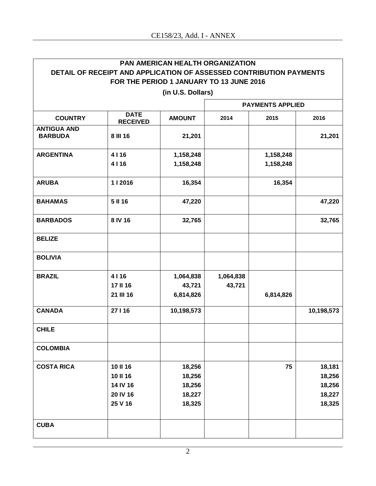Г

| <b>PAN AMERICAN HEALTH ORGANIZATION</b><br>DETAIL OF RECEIPT AND APPLICATION OF ASSESSED CONTRIBUTION PAYMENTS |                                |               |           |           |            |  |  |
|----------------------------------------------------------------------------------------------------------------|--------------------------------|---------------|-----------|-----------|------------|--|--|
| FOR THE PERIOD 1 JANUARY TO 13 JUNE 2016                                                                       |                                |               |           |           |            |  |  |
| (in U.S. Dollars)                                                                                              |                                |               |           |           |            |  |  |
|                                                                                                                | <b>PAYMENTS APPLIED</b>        |               |           |           |            |  |  |
| <b>COUNTRY</b>                                                                                                 | <b>DATE</b><br><b>RECEIVED</b> | <b>AMOUNT</b> | 2014      | 2015      | 2016       |  |  |
| <b>ANTIGUA AND</b><br><b>BARBUDA</b>                                                                           | 8 III 16                       | 21,201        |           |           | 21,201     |  |  |
| <b>ARGENTINA</b>                                                                                               | 4116                           | 1,158,248     |           | 1,158,248 |            |  |  |
|                                                                                                                | 4116                           | 1,158,248     |           | 1,158,248 |            |  |  |
| <b>ARUBA</b>                                                                                                   | 1   2016                       | 16,354        |           | 16,354    |            |  |  |
| <b>BAHAMAS</b>                                                                                                 | 5 II 16                        | 47,220        |           |           | 47,220     |  |  |
| <b>BARBADOS</b>                                                                                                | 8 IV 16                        | 32,765        |           |           | 32,765     |  |  |
| <b>BELIZE</b>                                                                                                  |                                |               |           |           |            |  |  |
| <b>BOLIVIA</b>                                                                                                 |                                |               |           |           |            |  |  |
| <b>BRAZIL</b>                                                                                                  | 4116                           | 1,064,838     | 1,064,838 |           |            |  |  |
|                                                                                                                | 17 II 16                       | 43,721        | 43,721    |           |            |  |  |
|                                                                                                                | 21 III 16                      | 6,814,826     |           | 6,814,826 |            |  |  |
| <b>CANADA</b>                                                                                                  | 27 I 16                        | 10,198,573    |           |           | 10,198,573 |  |  |
| <b>CHILE</b>                                                                                                   |                                |               |           |           |            |  |  |
| <b>COLOMBIA</b>                                                                                                |                                |               |           |           |            |  |  |
| <b>COSTA RICA</b>                                                                                              | 10 II 16                       | 18,256        |           | 75        | 18,181     |  |  |
|                                                                                                                | 10 II 16                       | 18,256        |           |           | 18,256     |  |  |
|                                                                                                                | 14 IV 16                       | 18,256        |           |           | 18,256     |  |  |
|                                                                                                                | 20 IV 16                       | 18,227        |           |           | 18,227     |  |  |
|                                                                                                                | 25 V 16                        | 18,325        |           |           | 18,325     |  |  |
| <b>CUBA</b>                                                                                                    |                                |               |           |           |            |  |  |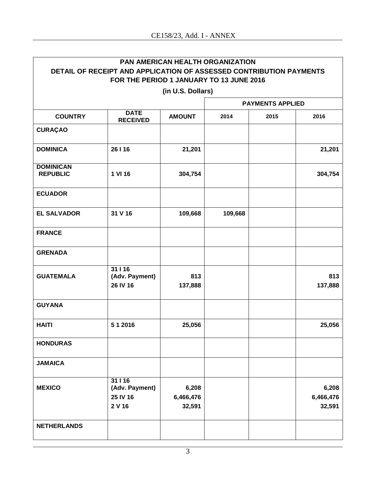| <b>PAN AMERICAN HEALTH ORGANIZATION</b>                                                                         |                                                 |                              |         |                         |                              |  |  |
|-----------------------------------------------------------------------------------------------------------------|-------------------------------------------------|------------------------------|---------|-------------------------|------------------------------|--|--|
| DETAIL OF RECEIPT AND APPLICATION OF ASSESSED CONTRIBUTION PAYMENTS<br>FOR THE PERIOD 1 JANUARY TO 13 JUNE 2016 |                                                 |                              |         |                         |                              |  |  |
| (in U.S. Dollars)                                                                                               |                                                 |                              |         |                         |                              |  |  |
|                                                                                                                 |                                                 |                              |         | <b>PAYMENTS APPLIED</b> |                              |  |  |
| <b>COUNTRY</b>                                                                                                  | <b>DATE</b><br><b>RECEIVED</b>                  | <b>AMOUNT</b>                | 2014    | 2015                    | 2016                         |  |  |
| <b>CURAÇAO</b>                                                                                                  |                                                 |                              |         |                         |                              |  |  |
| <b>DOMINICA</b>                                                                                                 | 26   16                                         | 21,201                       |         |                         | 21,201                       |  |  |
| <b>DOMINICAN</b><br><b>REPUBLIC</b>                                                                             | 1 VI 16                                         | 304,754                      |         |                         | 304,754                      |  |  |
| <b>ECUADOR</b>                                                                                                  |                                                 |                              |         |                         |                              |  |  |
| <b>EL SALVADOR</b>                                                                                              | 31 V 16                                         | 109,668                      | 109,668 |                         |                              |  |  |
| <b>FRANCE</b>                                                                                                   |                                                 |                              |         |                         |                              |  |  |
| <b>GRENADA</b>                                                                                                  |                                                 |                              |         |                         |                              |  |  |
| <b>GUATEMALA</b>                                                                                                | 31116<br>(Adv. Payment)<br>26 IV 16             | 813<br>137,888               |         |                         | 813<br>137,888               |  |  |
| <b>GUYANA</b>                                                                                                   |                                                 |                              |         |                         |                              |  |  |
| <b>HAITI</b>                                                                                                    | 5 1 2016                                        | 25,056                       |         |                         | 25,056                       |  |  |
| <b>HONDURAS</b>                                                                                                 |                                                 |                              |         |                         |                              |  |  |
| <b>JAMAICA</b>                                                                                                  |                                                 |                              |         |                         |                              |  |  |
| <b>MEXICO</b>                                                                                                   | 31   16<br>(Adv. Payment)<br>25 IV 16<br>2 V 16 | 6,208<br>6,466,476<br>32,591 |         |                         | 6,208<br>6,466,476<br>32,591 |  |  |
| <b>NETHERLANDS</b>                                                                                              |                                                 |                              |         |                         |                              |  |  |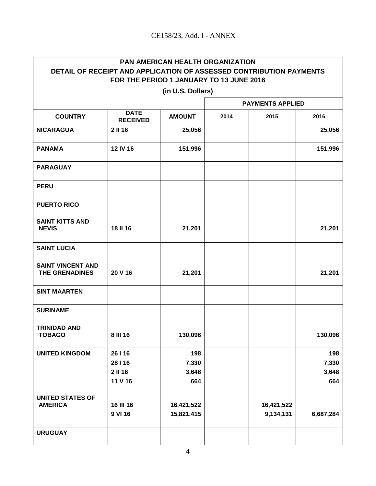| <b>PAN AMERICAN HEALTH ORGANIZATION</b>                             |                                |                   |      |                         |              |  |
|---------------------------------------------------------------------|--------------------------------|-------------------|------|-------------------------|--------------|--|
| DETAIL OF RECEIPT AND APPLICATION OF ASSESSED CONTRIBUTION PAYMENTS |                                |                   |      |                         |              |  |
| FOR THE PERIOD 1 JANUARY TO 13 JUNE 2016                            |                                |                   |      |                         |              |  |
|                                                                     |                                | (in U.S. Dollars) |      |                         |              |  |
|                                                                     |                                |                   |      | <b>PAYMENTS APPLIED</b> |              |  |
| <b>COUNTRY</b>                                                      | <b>DATE</b><br><b>RECEIVED</b> | <b>AMOUNT</b>     | 2014 | 2015                    | 2016         |  |
| <b>NICARAGUA</b>                                                    | 2 II 16                        | 25,056            |      |                         | 25,056       |  |
| <b>PANAMA</b>                                                       | 12 IV 16                       | 151,996           |      |                         | 151,996      |  |
| <b>PARAGUAY</b>                                                     |                                |                   |      |                         |              |  |
| <b>PERU</b>                                                         |                                |                   |      |                         |              |  |
| <b>PUERTO RICO</b>                                                  |                                |                   |      |                         |              |  |
| <b>SAINT KITTS AND</b><br><b>NEVIS</b>                              | 18 II 16                       | 21,201            |      |                         | 21,201       |  |
| <b>SAINT LUCIA</b>                                                  |                                |                   |      |                         |              |  |
| <b>SAINT VINCENT AND</b><br>THE GRENADINES                          | 20 V 16                        | 21,201            |      |                         | 21,201       |  |
| <b>SINT MAARTEN</b>                                                 |                                |                   |      |                         |              |  |
| <b>SURINAME</b>                                                     |                                |                   |      |                         |              |  |
| <b>TRINIDAD AND</b><br><b>TOBAGO</b>                                | 8 III 16                       | 130,096           |      |                         | 130,096      |  |
| <b>UNITED KINGDOM</b>                                               | 26   16                        | 198               |      |                         | 198<br>7,330 |  |
|                                                                     | 28116<br>2 II 16               | 7,330             |      |                         |              |  |
|                                                                     |                                | 3,648             |      |                         | 3,648        |  |
|                                                                     | 11 V 16                        | 664               |      |                         | 664          |  |
| <b>UNITED STATES OF</b><br><b>AMERICA</b>                           | 16 III 16                      | 16,421,522        |      | 16,421,522              |              |  |
|                                                                     | 9 VI 16                        | 15,821,415        |      | 9,134,131               | 6,687,284    |  |
| <b>URUGUAY</b>                                                      |                                |                   |      |                         |              |  |